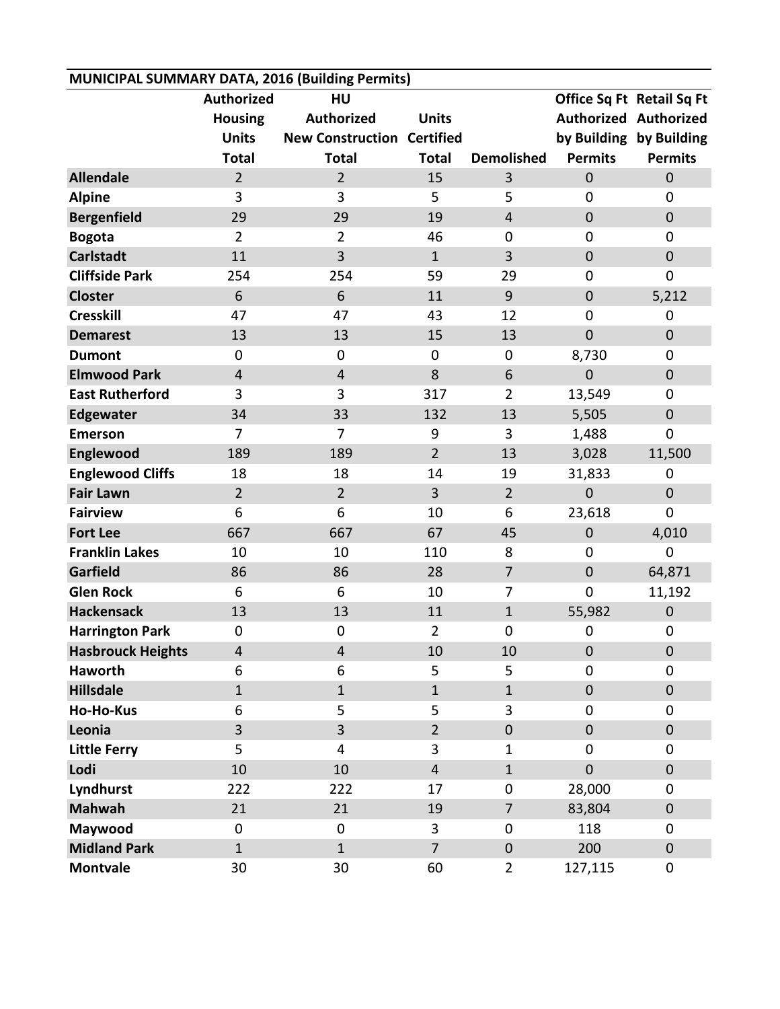| MUNICIPAL SUMMARY DATA, 2016 (Building Permits) |                   |                                   |                |                   |                |                              |  |  |  |  |
|-------------------------------------------------|-------------------|-----------------------------------|----------------|-------------------|----------------|------------------------------|--|--|--|--|
|                                                 | <b>Authorized</b> | HU                                |                |                   |                | Office Sq Ft Retail Sq Ft    |  |  |  |  |
|                                                 | <b>Housing</b>    | <b>Authorized</b>                 | <b>Units</b>   |                   |                | <b>Authorized Authorized</b> |  |  |  |  |
|                                                 | <b>Units</b>      | <b>New Construction Certified</b> |                |                   |                | by Building by Building      |  |  |  |  |
|                                                 | <b>Total</b>      | <b>Total</b>                      | <b>Total</b>   | <b>Demolished</b> | <b>Permits</b> | <b>Permits</b>               |  |  |  |  |
| <b>Allendale</b>                                | $\overline{2}$    | $\overline{2}$                    | 15             | 3                 | $\mathbf 0$    | $\mathbf 0$                  |  |  |  |  |
| <b>Alpine</b>                                   | 3                 | 3                                 | 5              | 5                 | $\mathbf 0$    | $\overline{0}$               |  |  |  |  |
| <b>Bergenfield</b>                              | 29                | 29                                | 19             | $\overline{4}$    | $\mathbf 0$    | $\pmb{0}$                    |  |  |  |  |
| <b>Bogota</b>                                   | $\overline{2}$    | $\overline{2}$                    | 46             | 0                 | $\mathbf 0$    | $\mathbf 0$                  |  |  |  |  |
| <b>Carlstadt</b>                                | 11                | $\overline{3}$                    | $\mathbf{1}$   | 3                 | $\mathbf 0$    | $\pmb{0}$                    |  |  |  |  |
| <b>Cliffside Park</b>                           | 254               | 254                               | 59             | 29                | $\mathbf 0$    | $\mathbf 0$                  |  |  |  |  |
| <b>Closter</b>                                  | 6                 | 6                                 | 11             | 9                 | $\mathbf 0$    | 5,212                        |  |  |  |  |
| <b>Cresskill</b>                                | 47                | 47                                | 43             | 12                | $\mathbf 0$    | $\mathbf 0$                  |  |  |  |  |
| <b>Demarest</b>                                 | 13                | 13                                | 15             | 13                | $\mathbf 0$    | $\mathbf 0$                  |  |  |  |  |
| <b>Dumont</b>                                   | $\mathbf 0$       | $\mathbf 0$                       | $\mathbf 0$    | 0                 | 8,730          | $\mathbf 0$                  |  |  |  |  |
| <b>Elmwood Park</b>                             | $\overline{4}$    | $\overline{4}$                    | 8              | 6                 | $\mathbf 0$    | $\boldsymbol{0}$             |  |  |  |  |
| <b>East Rutherford</b>                          | 3                 | 3                                 | 317            | $\overline{2}$    | 13,549         | 0                            |  |  |  |  |
| <b>Edgewater</b>                                | 34                | 33                                | 132            | 13                | 5,505          | $\pmb{0}$                    |  |  |  |  |
| <b>Emerson</b>                                  | $\overline{7}$    | $\overline{7}$                    | 9              | 3                 | 1,488          | $\mathbf 0$                  |  |  |  |  |
| Englewood                                       | 189               | 189                               | $\overline{2}$ | 13                | 3,028          | 11,500                       |  |  |  |  |
| <b>Englewood Cliffs</b>                         | 18                | 18                                | 14             | 19                | 31,833         | $\mathbf 0$                  |  |  |  |  |
| <b>Fair Lawn</b>                                | $\overline{2}$    | $\overline{2}$                    | 3              | $\overline{2}$    | $\mathbf 0$    | $\mathbf 0$                  |  |  |  |  |
| <b>Fairview</b>                                 | 6                 | 6                                 | 10             | 6                 | 23,618         | $\mathbf 0$                  |  |  |  |  |
| <b>Fort Lee</b>                                 | 667               | 667                               | 67             | 45                | $\mathbf 0$    | 4,010                        |  |  |  |  |
| <b>Franklin Lakes</b>                           | 10                | 10                                | 110            | 8                 | $\mathbf 0$    | $\mathbf 0$                  |  |  |  |  |
| Garfield                                        | 86                | 86                                | 28             | $\overline{7}$    | $\mathbf 0$    | 64,871                       |  |  |  |  |
| <b>Glen Rock</b>                                | 6                 | 6                                 | 10             | $\overline{7}$    | $\mathbf 0$    | 11,192                       |  |  |  |  |
| <b>Hackensack</b>                               | 13                | 13                                | 11             | $\mathbf{1}$      | 55,982         | $\pmb{0}$                    |  |  |  |  |
| <b>Harrington Park</b>                          | 0                 | $\boldsymbol{0}$                  | $\overline{2}$ | 0                 | $\mathbf 0$    | $\pmb{0}$                    |  |  |  |  |
| <b>Hasbrouck Heights</b>                        | 4                 | 4                                 | 10             | 10                | $\pmb{0}$      | $\mathbf 0$                  |  |  |  |  |
| <b>Haworth</b>                                  | 6                 | 6                                 | 5              | 5                 | $\mathbf 0$    | $\mathbf 0$                  |  |  |  |  |
| <b>Hillsdale</b>                                | $\mathbf{1}$      | $\mathbf{1}$                      | $\mathbf{1}$   | $\mathbf{1}$      | $\pmb{0}$      | $\pmb{0}$                    |  |  |  |  |
| <b>Ho-Ho-Kus</b>                                | 6                 | 5                                 | 5              | $\overline{3}$    | $\mathbf 0$    | 0                            |  |  |  |  |
| Leonia                                          | 3                 | $\overline{3}$                    | $\overline{2}$ | $\mathbf{0}$      | $\pmb{0}$      | $\pmb{0}$                    |  |  |  |  |
| <b>Little Ferry</b>                             | 5                 | 4                                 | 3              | $\mathbf 1$       | $\mathbf 0$    | 0                            |  |  |  |  |
| Lodi                                            | 10                | 10                                | $\overline{4}$ | $\mathbf{1}$      | $\mathbf 0$    | $\mathbf 0$                  |  |  |  |  |
| Lyndhurst                                       | 222               | 222                               | 17             | 0                 | 28,000         | 0                            |  |  |  |  |
| <b>Mahwah</b>                                   | 21                | 21                                | 19             | $\overline{7}$    | 83,804         | $\pmb{0}$                    |  |  |  |  |
| Maywood                                         | $\mathbf 0$       | 0                                 | 3              | 0                 | 118            | 0                            |  |  |  |  |
| <b>Midland Park</b>                             | $\mathbf{1}$      | $\mathbf{1}$                      | $\overline{7}$ | $\mathbf 0$       | 200            | $\pmb{0}$                    |  |  |  |  |
| <b>Montvale</b>                                 | 30                | 30                                | 60             | $\overline{2}$    | 127,115        | 0                            |  |  |  |  |